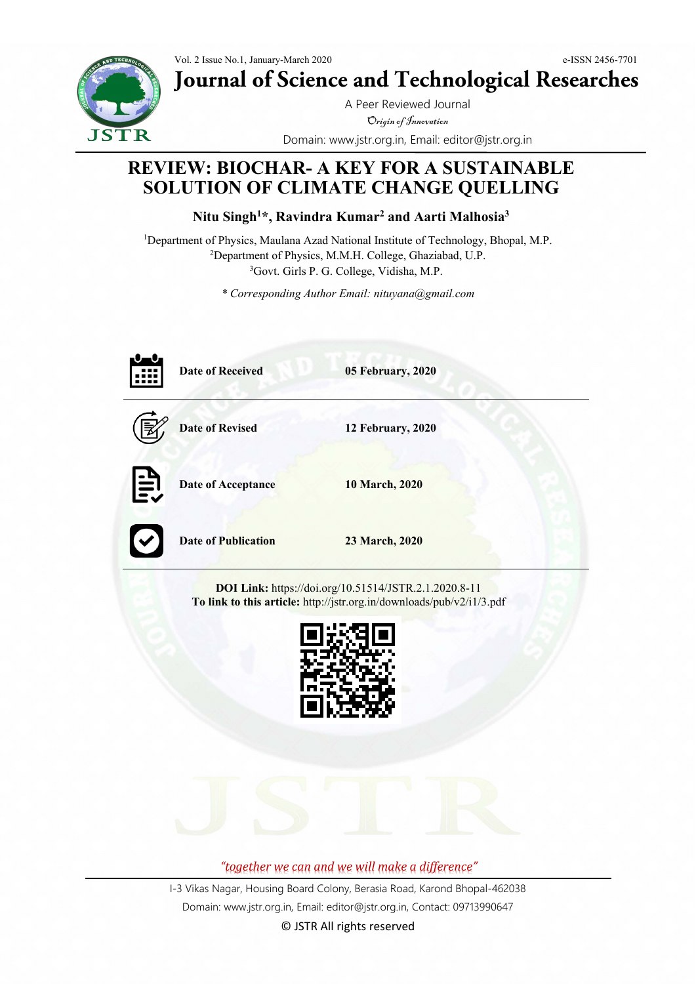



**Journal of Science and Technological Researches**

A Peer Reviewed Journal Origin of Innovation Domain: www.jstr.org.in, Email: editor@jstr.org.in

# **REVIEW: BIOCHAR- A KEY FOR A SUSTAINABLE SOLUTION OF CLIMATE CHANGE QUELLING**

**Nitu Singh<sup>1</sup>\*, Ravindra Kumar<sup>2</sup> and Aarti Malhosia<sup>3</sup>**

<sup>1</sup>Department of Physics, Maulana Azad National Institute of Technology, Bhopal, M.P. <sup>2</sup>Department of Physics, M.M.H. College, Ghaziabad, U.P. <sup>3</sup>Govt. Girls P. G. College, Vidisha, M.P.

*\* Corresponding Author Email: nituyana@gmail.com*

|                      | <b>Date of Received</b>    | 05 February, 2020 |
|----------------------|----------------------------|-------------------|
|                      | <b>Date of Revised</b>     | 12 February, 2020 |
| 厚                    | Date of Acceptance         | 10 March, 2020    |
| $\blacktriangledown$ | <b>Date of Publication</b> | 23 March, 2020    |

**DOI Link:** https://doi.org/10.51514/JSTR.2.1.2020.8-11 **To link to this article:** http://jstr.org.in/downloads/pub/v2/i1/3.pdf



*"together we can and we will make a difference"*

I-3 Vikas Nagar, Housing Board Colony, Berasia Road, Karond Bhopal-462038 Domain: www.jstr.org.in, Email: editor@jstr.org.in, Contact: 09713990647

© JSTR All rights reserved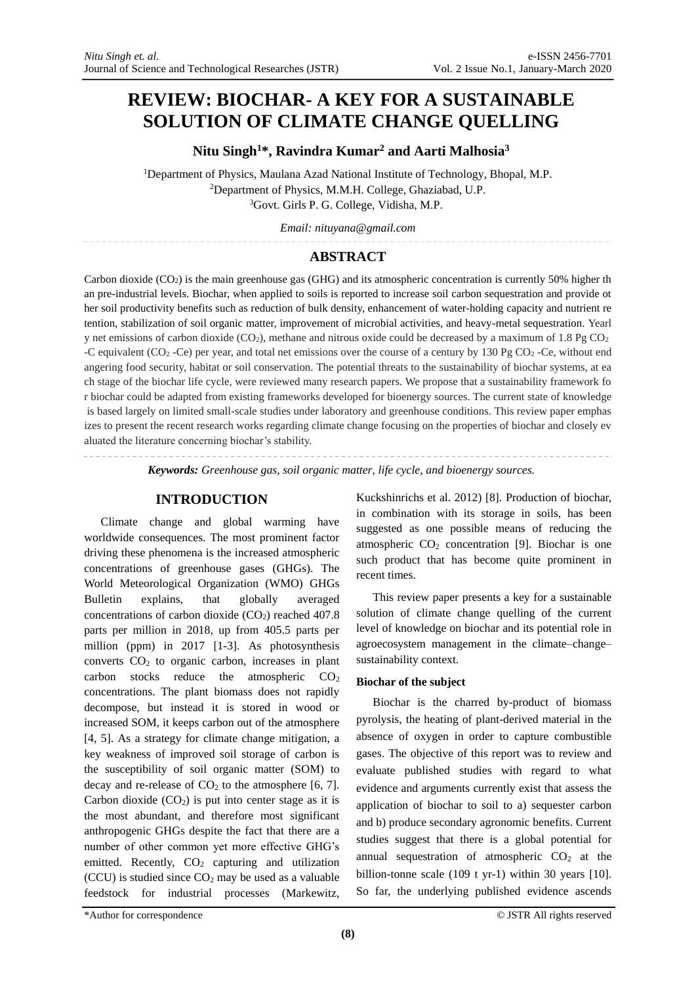# **REVIEW: BIOCHAR- A KEY FOR A SUSTAINABLE SOLUTION OF CLIMATE CHANGE QUELLING**

**Nitu Singh<sup>1</sup>\*, Ravindra Kumar<sup>2</sup> and Aarti Malhosia<sup>3</sup>**

<sup>1</sup>Department of Physics, Maulana Azad National Institute of Technology, Bhopal, M.P. <sup>2</sup>Department of Physics, M.M.H. College, Ghaziabad, U.P. <sup>3</sup>Govt. Girls P. G. College, Vidisha, M.P.

*Email: nituyana@gmail.com*

## **ABSTRACT**

Carbon dioxide (CO<sub>2</sub>) is the main greenhouse gas (GHG) and its atmospheric concentration is currently 50% higher th an pre-industrial levels. Biochar, when applied to soils is reported to increase soil carbon sequestration and provide ot her soil productivity benefits such as reduction of bulk density, enhancement of water-holding capacity and nutrient re tention, stabilization of soil organic matter, improvement of microbial activities, and heavy-metal sequestration. Yearl y net emissions of carbon dioxide (CO<sub>2</sub>), methane and nitrous oxide could be decreased by a maximum of 1.8 Pg CO<sub>2</sub> -C equivalent (CO<sup>2</sup> -Ce) per year, and total net emissions over the course of a century by 130 Pg CO<sup>2</sup> -Ce, without end angering food security, habitat or soil conservation. The potential threats to the sustainability of biochar systems, at ea ch stage of the biochar life cycle, were reviewed many research papers. We propose that a sustainability framework fo r biochar could be adapted from existing frameworks developed for bioenergy sources. The current state of knowledge is based largely on limited small-scale studies under laboratory and greenhouse conditions. This review paper emphas izes to present the recent research works regarding climate change focusing on the properties of biochar and closely ev aluated the literature concerning biochar's stability.

*Keywords: Greenhouse gas, soil organic matter, life cycle, and bioenergy sources.*

### **INTRODUCTION**

Climate change and global warming have worldwide consequences. The most prominent factor driving these phenomena is the increased atmospheric concentrations of greenhouse gases (GHGs). The World Meteorological Organization (WMO) GHGs Bulletin explains, that globally averaged concentrations of carbon dioxide  $(CO<sub>2</sub>)$  reached 407.8 parts per million in 2018, up from 405.5 parts per million (ppm) in 2017 [1-3]. As photosynthesis converts  $CO<sub>2</sub>$  to organic carbon, increases in plant carbon stocks reduce the atmospheric  $CO<sub>2</sub>$ concentrations. The plant biomass does not rapidly decompose, but instead it is stored in wood or increased SOM, it keeps carbon out of the atmosphere [4, 5]. As a strategy for climate change mitigation, a key weakness of improved soil storage of carbon is the susceptibility of soil organic matter (SOM) to decay and re-release of  $CO<sub>2</sub>$  to the atmosphere [6, 7]. Carbon dioxide  $(CO<sub>2</sub>)$  is put into center stage as it is the most abundant, and therefore most significant anthropogenic GHGs despite the fact that there are a number of other common yet more effective GHG's emitted. Recently,  $CO<sub>2</sub>$  capturing and utilization (CCU) is studied since  $CO<sub>2</sub>$  may be used as a valuable feedstock for industrial processes (Markewitz,

Kuckshinrichs et al. 2012) [8]. Production of biochar, in combination with its storage in soils, has been suggested as one possible means of reducing the atmospheric  $CO<sub>2</sub>$  concentration [9]. Biochar is one such product that has become quite prominent in recent times.

This review paper presents a key for a sustainable solution of climate change quelling of the current level of knowledge on biochar and its potential role in agroecosystem management in the climate–change– sustainability context.

#### **Biochar of the subject**

Biochar is the charred by-product of biomass pyrolysis, the heating of plant-derived material in the absence of oxygen in order to capture combustible gases. The objective of this report was to review and evaluate published studies with regard to what evidence and arguments currently exist that assess the application of biochar to soil to a) sequester carbon and b) produce secondary agronomic benefits. Current studies suggest that there is a global potential for annual sequestration of atmospheric  $CO<sub>2</sub>$  at the billion-tonne scale (109 t yr-1) within 30 years [10]. So far, the underlying published evidence ascends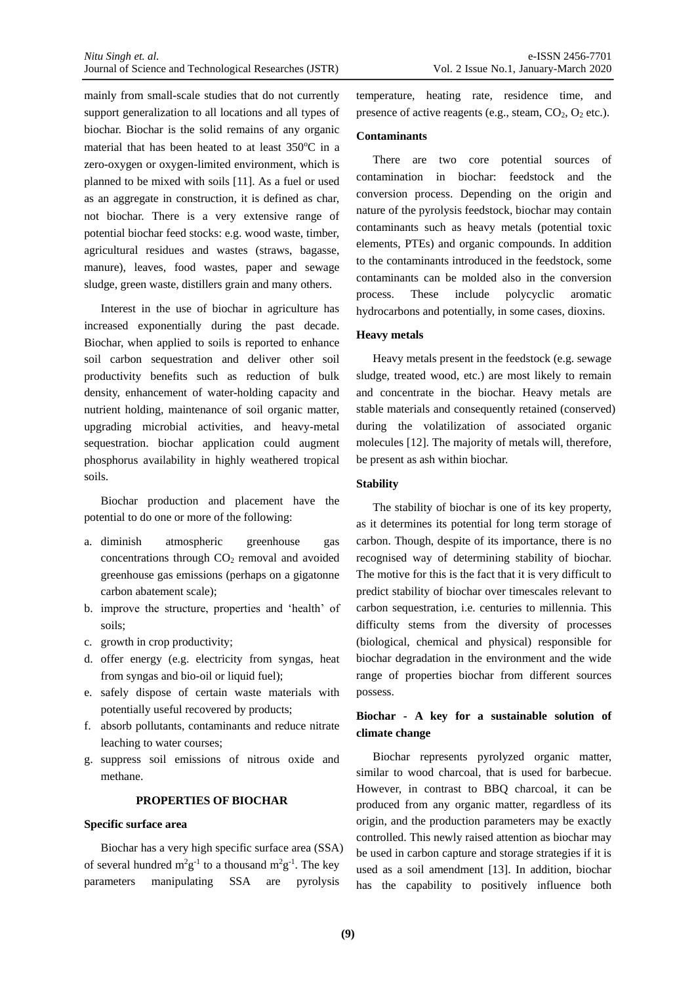Ī

mainly from small-scale studies that do not currently support generalization to all locations and all types of biochar. Biochar is the solid remains of any organic material that has been heated to at least  $350^{\circ}$ C in a zero-oxygen or oxygen-limited environment, which is planned to be mixed with soils [11]. As a fuel or used as an aggregate in construction, it is defined as char, not biochar. There is a very extensive range of potential biochar feed stocks: e.g. wood waste, timber, agricultural residues and wastes (straws, bagasse, manure), leaves, food wastes, paper and sewage sludge, green waste, distillers grain and many others.

Interest in the use of biochar in agriculture has increased exponentially during the past decade. Biochar, when applied to soils is reported to enhance soil carbon sequestration and deliver other soil productivity benefits such as reduction of bulk density, enhancement of water-holding capacity and nutrient holding, maintenance of soil organic matter, upgrading microbial activities, and heavy-metal sequestration. biochar application could augment phosphorus availability in highly weathered tropical soils.

Biochar production and placement have the potential to do one or more of the following:

- a. diminish atmospheric greenhouse gas concentrations through  $CO<sub>2</sub>$  removal and avoided greenhouse gas emissions (perhaps on a gigatonne carbon abatement scale);
- b. improve the structure, properties and 'health' of soils;
- c. growth in crop productivity;
- d. offer energy (e.g. electricity from syngas, heat from syngas and bio-oil or liquid fuel);
- e. safely dispose of certain waste materials with potentially useful recovered by products;
- f. absorb pollutants, contaminants and reduce nitrate leaching to water courses;
- g. suppress soil emissions of nitrous oxide and methane.

#### **PROPERTIES OF BIOCHAR**

#### **Specific surface area**

Biochar has a very high specific surface area (SSA) of several hundred  $m^2g^{-1}$  to a thousand  $m^2g^{-1}$ . The key parameters manipulating SSA are pyrolysis

temperature, heating rate, residence time, and presence of active reagents (e.g., steam,  $CO<sub>2</sub>, O<sub>2</sub>$  etc.).

#### **Contaminants**

There are two core potential sources of contamination in biochar: feedstock and the conversion process. Depending on the origin and nature of the pyrolysis feedstock, biochar may contain contaminants such as heavy metals (potential toxic elements, PTEs) and organic compounds. In addition to the contaminants introduced in the feedstock, some contaminants can be molded also in the conversion process. These include polycyclic aromatic hydrocarbons and potentially, in some cases, dioxins.

#### **Heavy metals**

Heavy metals present in the feedstock (e.g. sewage sludge, treated wood, etc.) are most likely to remain and concentrate in the biochar. Heavy metals are stable materials and consequently retained (conserved) during the volatilization of associated organic molecules [12]. The majority of metals will, therefore, be present as ash within biochar.

#### **Stability**

The stability of biochar is one of its key property, as it determines its potential for long term storage of carbon. Though, despite of its importance, there is no recognised way of determining stability of biochar. The motive for this is the fact that it is very difficult to predict stability of biochar over timescales relevant to carbon sequestration, i.e. centuries to millennia. This difficulty stems from the diversity of processes (biological, chemical and physical) responsible for biochar degradation in the environment and the wide range of properties biochar from different sources possess.

### **Biochar - A key for a sustainable solution of climate change**

Biochar represents pyrolyzed organic matter, similar to wood charcoal, that is used for barbecue. However, in contrast to BBQ charcoal, it can be produced from any organic matter, regardless of its origin, and the production parameters may be exactly controlled. This newly raised attention as biochar may be used in carbon capture and storage strategies if it is used as a soil amendment [13]. In addition, biochar has the capability to positively influence both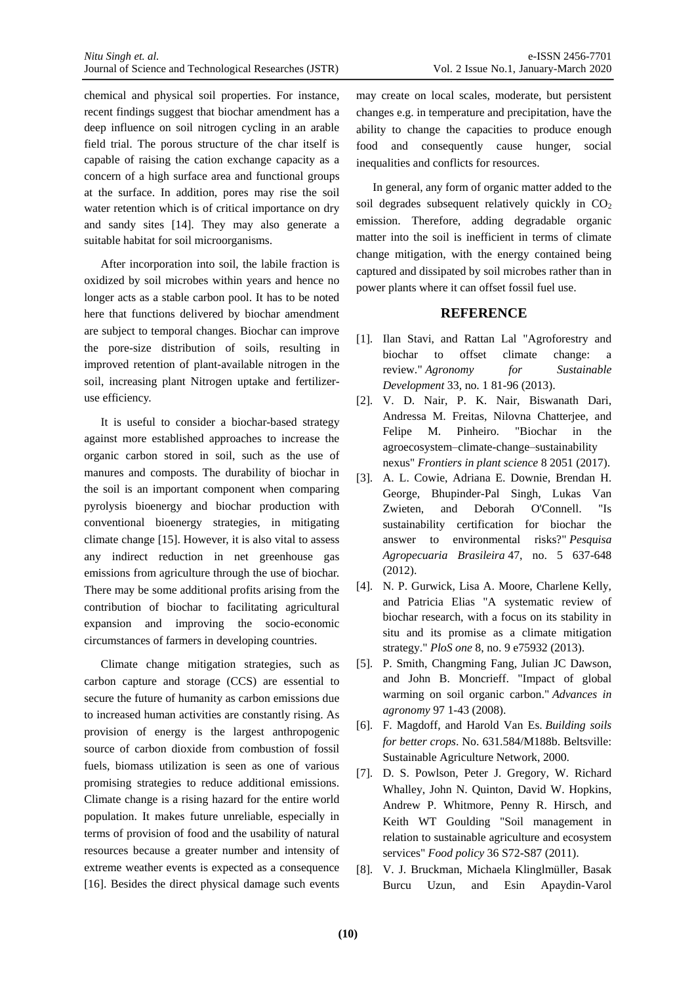Ī

chemical and physical soil properties. For instance, recent findings suggest that biochar amendment has a deep influence on soil nitrogen cycling in an arable field trial. The porous structure of the char itself is capable of raising the cation exchange capacity as a concern of a high surface area and functional groups at the surface. In addition, pores may rise the soil water retention which is of critical importance on dry

After incorporation into soil, the labile fraction is oxidized by soil microbes within years and hence no longer acts as a stable carbon pool. It has to be noted here that functions delivered by biochar amendment are subject to temporal changes. Biochar can improve the pore-size distribution of soils, resulting in improved retention of plant-available nitrogen in the soil, increasing plant Nitrogen uptake and fertilizeruse efficiency.

and sandy sites [14]. They may also generate a

suitable habitat for soil microorganisms.

It is useful to consider a biochar-based strategy against more established approaches to increase the organic carbon stored in soil, such as the use of manures and composts. The durability of biochar in the soil is an important component when comparing pyrolysis bioenergy and biochar production with conventional bioenergy strategies, in mitigating climate change [15]. However, it is also vital to assess any indirect reduction in net greenhouse gas emissions from agriculture through the use of biochar. There may be some additional profits arising from the contribution of biochar to facilitating agricultural expansion and improving the socio-economic circumstances of farmers in developing countries.

Climate change mitigation strategies, such as carbon capture and storage (CCS) are essential to secure the future of humanity as carbon emissions due to increased human activities are constantly rising. As provision of energy is the largest anthropogenic source of carbon dioxide from combustion of fossil fuels, biomass utilization is seen as one of various promising strategies to reduce additional emissions. Climate change is a rising hazard for the entire world population. It makes future unreliable, especially in terms of provision of food and the usability of natural resources because a greater number and intensity of extreme weather events is expected as a consequence [16]. Besides the direct physical damage such events may create on local scales, moderate, but persistent changes e.g. in temperature and precipitation, have the ability to change the capacities to produce enough food and consequently cause hunger, social inequalities and conflicts for resources.

In general, any form of organic matter added to the soil degrades subsequent relatively quickly in  $CO<sub>2</sub>$ emission. Therefore, adding degradable organic matter into the soil is inefficient in terms of climate change mitigation, with the energy contained being captured and dissipated by soil microbes rather than in power plants where it can offset fossil fuel use.

#### **REFERENCE**

- [1]. Ilan Stavi, and Rattan Lal "Agroforestry and biochar to offset climate change: a review." *Agronomy for Sustainable Development* 33, no. 1 81-96 (2013).
- [2]. V. D. Nair, P. K. Nair, Biswanath Dari, Andressa M. Freitas, Nilovna Chatterjee, and Felipe M. Pinheiro. "Biochar in the agroecosystem–climate-change–sustainability nexus" *Frontiers in plant science* 8 2051 (2017).
- [3]. A. L. Cowie, Adriana E. Downie, Brendan H. George, Bhupinder-Pal Singh, Lukas Van Zwieten, and Deborah O'Connell. "Is sustainability certification for biochar the answer to environmental risks?" *Pesquisa Agropecuaria Brasileira* 47, no. 5 637-648 (2012).
- [4]. N. P. Gurwick, Lisa A. Moore, Charlene Kelly, and Patricia Elias "A systematic review of biochar research, with a focus on its stability in situ and its promise as a climate mitigation strategy." *PloS one* 8, no. 9 e75932 (2013).
- [5]. P. Smith, Changming Fang, Julian JC Dawson, and John B. Moncrieff. "Impact of global warming on soil organic carbon." *Advances in agronomy* 97 1-43 (2008).
- [6]. F. Magdoff, and Harold Van Es. *Building soils for better crops*. No. 631.584/M188b. Beltsville: Sustainable Agriculture Network, 2000.
- [7]. D. S. Powlson, Peter J. Gregory, W. Richard Whalley, John N. Quinton, David W. Hopkins, Andrew P. Whitmore, Penny R. Hirsch, and Keith WT Goulding "Soil management in relation to sustainable agriculture and ecosystem services" *Food policy* 36 S72-S87 (2011).
- [8]. V. J. Bruckman, Michaela Klinglmüller, Basak Burcu Uzun, and Esin Apaydin-Varol